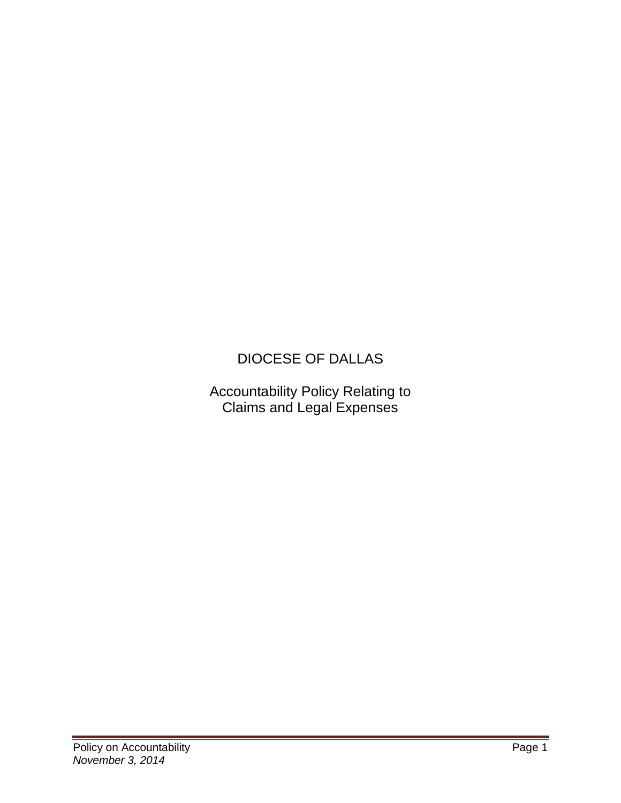# DIOCESE OF DALLAS

Accountability Policy Relating to Claims and Legal Expenses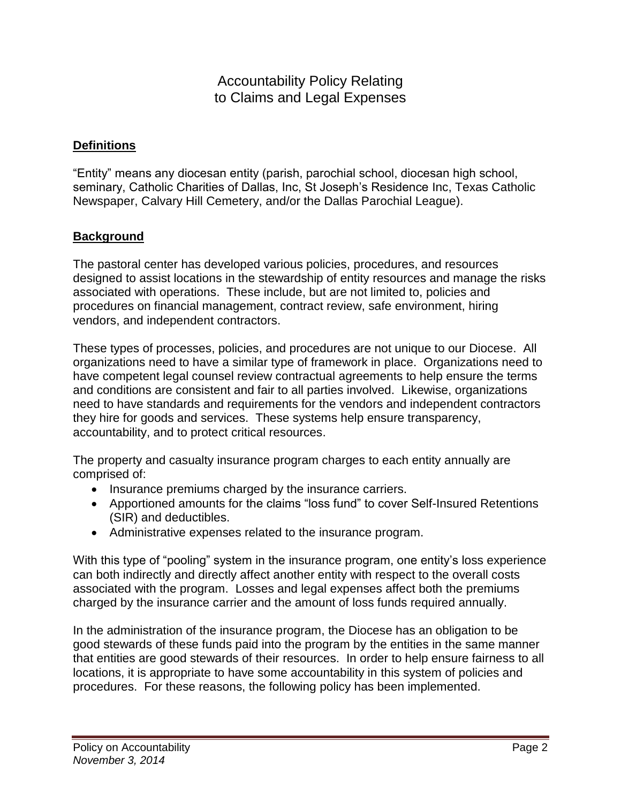## Accountability Policy Relating to Claims and Legal Expenses

#### **Definitions**

"Entity" means any diocesan entity (parish, parochial school, diocesan high school, seminary, Catholic Charities of Dallas, Inc, St Joseph's Residence Inc, Texas Catholic Newspaper, Calvary Hill Cemetery, and/or the Dallas Parochial League).

#### **Background**

The pastoral center has developed various policies, procedures, and resources designed to assist locations in the stewardship of entity resources and manage the risks associated with operations. These include, but are not limited to, policies and procedures on financial management, contract review, safe environment, hiring vendors, and independent contractors.

These types of processes, policies, and procedures are not unique to our Diocese. All organizations need to have a similar type of framework in place. Organizations need to have competent legal counsel review contractual agreements to help ensure the terms and conditions are consistent and fair to all parties involved. Likewise, organizations need to have standards and requirements for the vendors and independent contractors they hire for goods and services. These systems help ensure transparency, accountability, and to protect critical resources.

The property and casualty insurance program charges to each entity annually are comprised of:

- Insurance premiums charged by the insurance carriers.
- Apportioned amounts for the claims "loss fund" to cover Self-Insured Retentions (SIR) and deductibles.
- Administrative expenses related to the insurance program.

With this type of "pooling" system in the insurance program, one entity's loss experience can both indirectly and directly affect another entity with respect to the overall costs associated with the program. Losses and legal expenses affect both the premiums charged by the insurance carrier and the amount of loss funds required annually.

In the administration of the insurance program, the Diocese has an obligation to be good stewards of these funds paid into the program by the entities in the same manner that entities are good stewards of their resources. In order to help ensure fairness to all locations, it is appropriate to have some accountability in this system of policies and procedures. For these reasons, the following policy has been implemented.